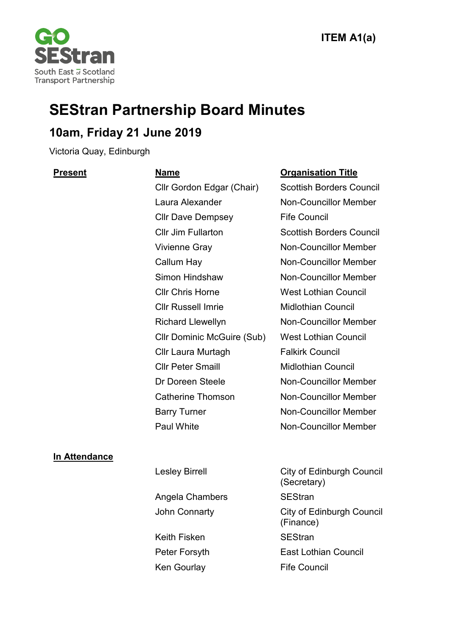

# **SEStran Partnership Board Minutes**

# **10am, Friday 21 June 2019**

Victoria Quay, Edinburgh

Cllr Gordon Edgar (Chair) Scottish Borders Council Laura Alexander Non-Councillor Member Cllr Dave Dempsey Fife Council Cllr Jim Fullarton Scottish Borders Council Vivienne Gray Non-Councillor Member Callum Hay Non-Councillor Member Simon Hindshaw Non-Councillor Member Cllr Chris Horne West Lothian Council Cllr Russell Imrie Midlothian Council Richard Llewellyn Non-Councillor Member Cllr Dominic McGuire (Sub) West Lothian Council Cllr Laura Murtagh Falkirk Council Cllr Peter Smaill Midlothian Council Dr Doreen Steele Non-Councillor Member Catherine Thomson Non-Councillor Member Barry Turner Non-Councillor Member Paul White Non-Councillor Member

# **Present Name Organisation Title**

# **In Attendance**

| <b>Lesley Birrell</b> | <b>City of Edinburgh Council</b><br>(Secretary) |
|-----------------------|-------------------------------------------------|
| Angela Chambers       | <b>SEStran</b>                                  |
| John Connarty         | <b>City of Edinburgh Council</b><br>(Finance)   |
| Keith Fisken          | <b>SEStran</b>                                  |
| Peter Forsyth         | <b>East Lothian Council</b>                     |
| Ken Gourlay           | <b>Fife Council</b>                             |
|                       |                                                 |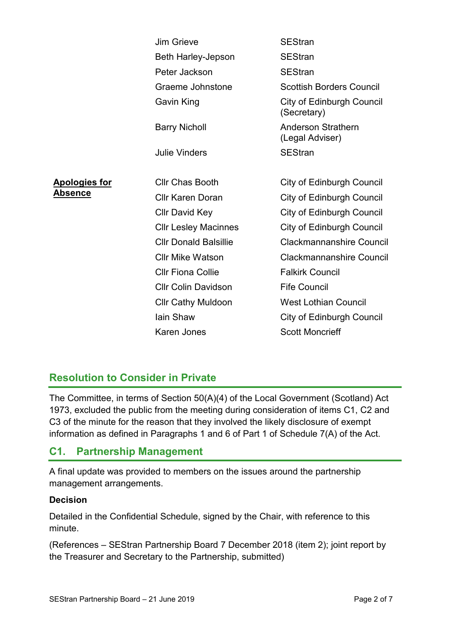|                      | <b>Jim Grieve</b>            | <b>SEStran</b>                                  |
|----------------------|------------------------------|-------------------------------------------------|
|                      | Beth Harley-Jepson           | <b>SEStran</b>                                  |
|                      | Peter Jackson                | <b>SEStran</b>                                  |
|                      | Graeme Johnstone             | <b>Scottish Borders Council</b>                 |
|                      | <b>Gavin King</b>            | <b>City of Edinburgh Council</b><br>(Secretary) |
|                      | <b>Barry Nicholl</b>         | <b>Anderson Strathern</b><br>(Legal Adviser)    |
|                      | <b>Julie Vinders</b>         | <b>SEStran</b>                                  |
|                      |                              |                                                 |
| <b>Apologies for</b> | <b>CIIr Chas Booth</b>       | City of Edinburgh Council                       |
| Absence              | <b>Cllr Karen Doran</b>      | <b>City of Edinburgh Council</b>                |
|                      | <b>Cllr David Key</b>        | <b>City of Edinburgh Council</b>                |
|                      | <b>Cllr Lesley Macinnes</b>  | City of Edinburgh Council                       |
|                      | <b>Cllr Donald Balsillie</b> | <b>Clackmannanshire Council</b>                 |
|                      | <b>Cllr Mike Watson</b>      | <b>Clackmannanshire Council</b>                 |
|                      | <b>Cllr Fiona Collie</b>     | <b>Falkirk Council</b>                          |
|                      | <b>Cllr Colin Davidson</b>   | <b>Fife Council</b>                             |
|                      | <b>Cllr Cathy Muldoon</b>    | <b>West Lothian Council</b>                     |
|                      | lain Shaw                    | City of Edinburgh Council                       |
|                      | <b>Karen Jones</b>           | <b>Scott Moncrieff</b>                          |

# **Resolution to Consider in Private**

The Committee, in terms of Section 50(A)(4) of the Local Government (Scotland) Act 1973, excluded the public from the meeting during consideration of items C1, C2 and C3 of the minute for the reason that they involved the likely disclosure of exempt information as defined in Paragraphs 1 and 6 of Part 1 of Schedule 7(A) of the Act.

# **C1. Partnership Management**

A final update was provided to members on the issues around the partnership management arrangements.

# **Decision**

Detailed in the Confidential Schedule, signed by the Chair, with reference to this minute.

(References – SEStran Partnership Board 7 December 2018 (item 2); joint report by the Treasurer and Secretary to the Partnership, submitted)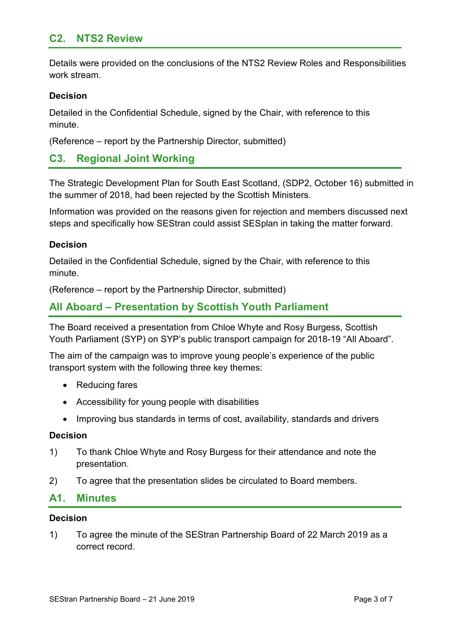# **C2. NTS2 Review**

Details were provided on the conclusions of the NTS2 Review Roles and Responsibilities work stream.

# **Decision**

Detailed in the Confidential Schedule, signed by the Chair, with reference to this minute.

(Reference – report by the Partnership Director, submitted)

# **C3. Regional Joint Working**

The Strategic Development Plan for South East Scotland, (SDP2, October 16) submitted in the summer of 2018, had been rejected by the Scottish Ministers.

Information was provided on the reasons given for rejection and members discussed next steps and specifically how SEStran could assist SESplan in taking the matter forward.

# **Decision**

Detailed in the Confidential Schedule, signed by the Chair, with reference to this minute.

(Reference – report by the Partnership Director, submitted)

# **All Aboard – Presentation by Scottish Youth Parliament**

The Board received a presentation from Chloe Whyte and Rosy Burgess, Scottish Youth Parliament (SYP) on SYP's public transport campaign for 2018-19 "All Aboard".

The aim of the campaign was to improve young people's experience of the public transport system with the following three key themes:

- Reducing fares
- Accessibility for young people with disabilities
- Improving bus standards in terms of cost, availability, standards and drivers

#### **Decision**

- 1) To thank Chloe Whyte and Rosy Burgess for their attendance and note the presentation.
- 2) To agree that the presentation slides be circulated to Board members.

# **A1. Minutes**

#### **Decision**

1) To agree the minute of the SEStran Partnership Board of 22 March 2019 as a correct record.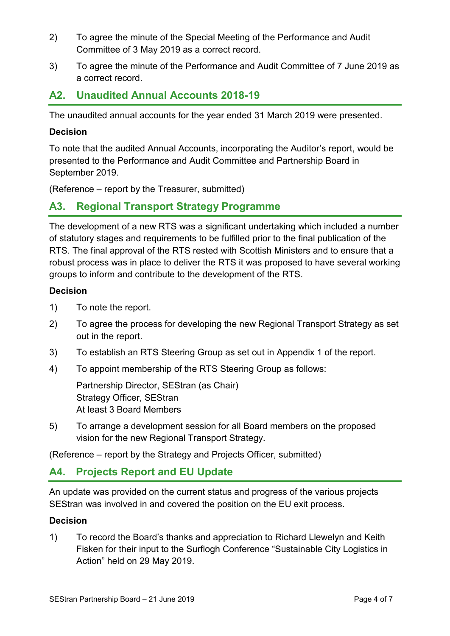- 2) To agree the minute of the Special Meeting of the Performance and Audit Committee of 3 May 2019 as a correct record.
- 3) To agree the minute of the Performance and Audit Committee of 7 June 2019 as a correct record.

# **A2. Unaudited Annual Accounts 2018-19**

The unaudited annual accounts for the year ended 31 March 2019 were presented.

# **Decision**

To note that the audited Annual Accounts, incorporating the Auditor's report, would be presented to the Performance and Audit Committee and Partnership Board in September 2019.

(Reference – report by the Treasurer, submitted)

# **A3. Regional Transport Strategy Programme**

The development of a new RTS was a significant undertaking which included a number of statutory stages and requirements to be fulfilled prior to the final publication of the RTS. The final approval of the RTS rested with Scottish Ministers and to ensure that a robust process was in place to deliver the RTS it was proposed to have several working groups to inform and contribute to the development of the RTS.

# **Decision**

- 1) To note the report.
- 2) To agree the process for developing the new Regional Transport Strategy as set out in the report.
- 3) To establish an RTS Steering Group as set out in Appendix 1 of the report.
- 4) To appoint membership of the RTS Steering Group as follows:

Partnership Director, SEStran (as Chair) Strategy Officer, SEStran At least 3 Board Members

5) To arrange a development session for all Board members on the proposed vision for the new Regional Transport Strategy.

(Reference – report by the Strategy and Projects Officer, submitted)

# **A4. Projects Report and EU Update**

An update was provided on the current status and progress of the various projects SEStran was involved in and covered the position on the EU exit process.

# **Decision**

1) To record the Board's thanks and appreciation to Richard Llewelyn and Keith Fisken for their input to the Surflogh Conference "Sustainable City Logistics in Action" held on 29 May 2019.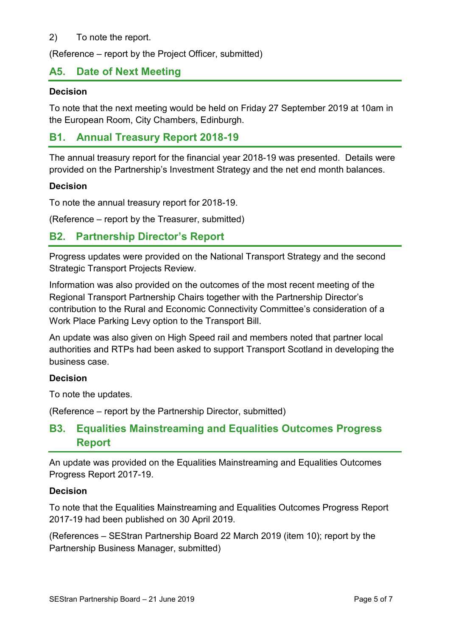## 2) To note the report.

(Reference – report by the Project Officer, submitted)

# **A5. Date of Next Meeting**

#### **Decision**

To note that the next meeting would be held on Friday 27 September 2019 at 10am in the European Room, City Chambers, Edinburgh.

# **B1. Annual Treasury Report 2018-19**

The annual treasury report for the financial year 2018-19 was presented. Details were provided on the Partnership's Investment Strategy and the net end month balances.

#### **Decision**

To note the annual treasury report for 2018-19.

(Reference – report by the Treasurer, submitted)

# **B2. Partnership Director's Report**

Progress updates were provided on the National Transport Strategy and the second Strategic Transport Projects Review.

Information was also provided on the outcomes of the most recent meeting of the Regional Transport Partnership Chairs together with the Partnership Director's contribution to the Rural and Economic Connectivity Committee's consideration of a Work Place Parking Levy option to the Transport Bill.

An update was also given on High Speed rail and members noted that partner local authorities and RTPs had been asked to support Transport Scotland in developing the business case.

#### **Decision**

To note the updates.

(Reference – report by the Partnership Director, submitted)

# **B3. Equalities Mainstreaming and Equalities Outcomes Progress Report**

An update was provided on the Equalities Mainstreaming and Equalities Outcomes Progress Report 2017-19.

#### **Decision**

To note that the Equalities Mainstreaming and Equalities Outcomes Progress Report 2017-19 had been published on 30 April 2019.

(References – SEStran Partnership Board 22 March 2019 (item 10); report by the Partnership Business Manager, submitted)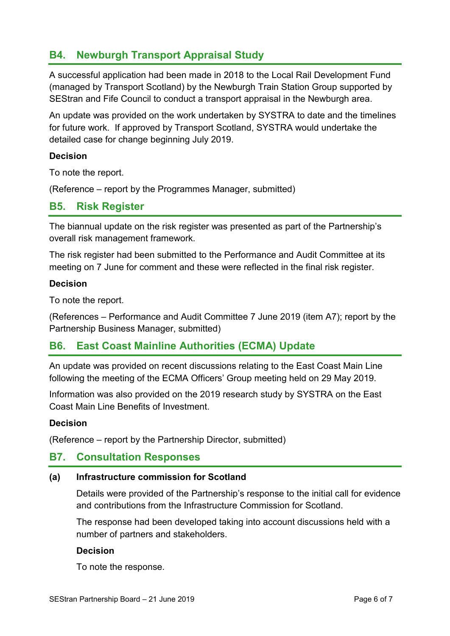# **B4. Newburgh Transport Appraisal Study**

A successful application had been made in 2018 to the Local Rail Development Fund (managed by Transport Scotland) by the Newburgh Train Station Group supported by SEStran and Fife Council to conduct a transport appraisal in the Newburgh area.

An update was provided on the work undertaken by SYSTRA to date and the timelines for future work. If approved by Transport Scotland, SYSTRA would undertake the detailed case for change beginning July 2019.

# **Decision**

To note the report.

(Reference – report by the Programmes Manager, submitted)

# **B5. Risk Register**

The biannual update on the risk register was presented as part of the Partnership's overall risk management framework.

The risk register had been submitted to the Performance and Audit Committee at its meeting on 7 June for comment and these were reflected in the final risk register.

#### **Decision**

To note the report.

(References – Performance and Audit Committee 7 June 2019 (item A7); report by the Partnership Business Manager, submitted)

# **B6. East Coast Mainline Authorities (ECMA) Update**

An update was provided on recent discussions relating to the East Coast Main Line following the meeting of the ECMA Officers' Group meeting held on 29 May 2019.

Information was also provided on the 2019 research study by SYSTRA on the East Coast Main Line Benefits of Investment.

# **Decision**

(Reference – report by the Partnership Director, submitted)

# **B7. Consultation Responses**

# **(a) Infrastructure commission for Scotland**

Details were provided of the Partnership's response to the initial call for evidence and contributions from the Infrastructure Commission for Scotland.

The response had been developed taking into account discussions held with a number of partners and stakeholders.

# **Decision**

To note the response.